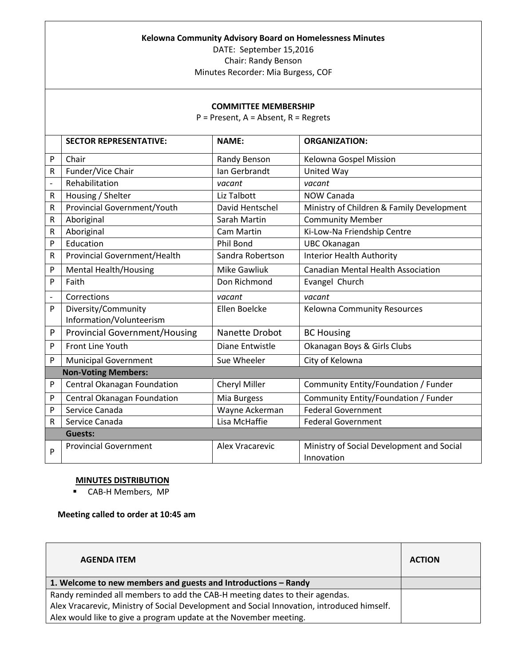## **Kelowna Community Advisory Board on Homelessness Minutes**

DATE: September 15,2016 Chair: Randy Benson

Minutes Recorder: Mia Burgess, COF

## **COMMITTEE MEMBERSHIP**

P = Present, A = Absent, R = Regrets

|                | <b>SECTOR REPRESENTATIVE:</b>        | <b>NAME:</b>         | <b>ORGANIZATION:</b>                      |
|----------------|--------------------------------------|----------------------|-------------------------------------------|
| P              | Chair                                | Randy Benson         | Kelowna Gospel Mission                    |
| R              | Funder/Vice Chair                    | Ian Gerbrandt        | United Way                                |
| $\overline{a}$ | Rehabilitation                       | vacant               | vacant                                    |
| R              | Housing / Shelter                    | Liz Talbott          | NOW Canada                                |
| R              | Provincial Government/Youth          | David Hentschel      | Ministry of Children & Family Development |
| R              | Aboriginal                           | Sarah Martin         | <b>Community Member</b>                   |
| R              | Aboriginal                           | <b>Cam Martin</b>    | Ki-Low-Na Friendship Centre               |
| P              | Education                            | <b>Phil Bond</b>     | <b>UBC Okanagan</b>                       |
| R              | Provincial Government/Health         | Sandra Robertson     | <b>Interior Health Authority</b>          |
| P              | <b>Mental Health/Housing</b>         | <b>Mike Gawliuk</b>  | <b>Canadian Mental Health Association</b> |
| P              | Faith                                | Don Richmond         | Evangel Church                            |
|                | Corrections                          | vacant               | vacant                                    |
| P              | Diversity/Community                  | Ellen Boelcke        | Kelowna Community Resources               |
|                | Information/Volunteerism             |                      |                                           |
| P              | <b>Provincial Government/Housing</b> | Nanette Drobot       | <b>BC Housing</b>                         |
| P              | Front Line Youth                     | Diane Entwistle      | Okanagan Boys & Girls Clubs               |
| P              | <b>Municipal Government</b>          | Sue Wheeler          | City of Kelowna                           |
|                | <b>Non-Voting Members:</b>           |                      |                                           |
| P              | Central Okanagan Foundation          | <b>Cheryl Miller</b> | Community Entity/Foundation / Funder      |
| P              | Central Okanagan Foundation          | Mia Burgess          | Community Entity/Foundation / Funder      |
| P              | Service Canada                       | Wayne Ackerman       | <b>Federal Government</b>                 |
| R              | Service Canada                       | Lisa McHaffie        | <b>Federal Government</b>                 |
|                | <b>Guests:</b>                       |                      |                                           |
| P              | <b>Provincial Government</b>         | Alex Vracarevic      | Ministry of Social Development and Social |
|                |                                      |                      | Innovation                                |

## **MINUTES DISTRIBUTION**

CAB-H Members, MP

## **Meeting called to order at 10:45 am**

| <b>AGENDA ITEM</b>                                                                         | <b>ACTION</b> |
|--------------------------------------------------------------------------------------------|---------------|
| 1. Welcome to new members and guests and Introductions - Randy                             |               |
| Randy reminded all members to add the CAB-H meeting dates to their agendas.                |               |
| Alex Vracarevic, Ministry of Social Development and Social Innovation, introduced himself. |               |
| Alex would like to give a program update at the November meeting.                          |               |